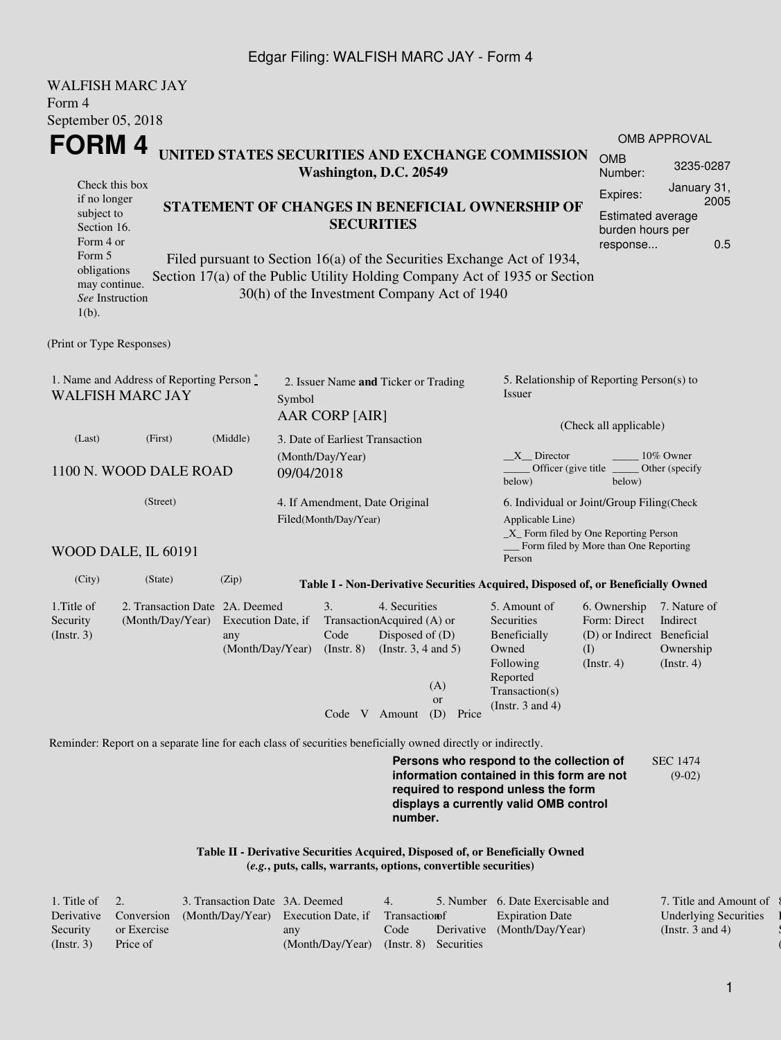## Edgar Filing: WALFISH MARC JAY - Form 4

| <b>WALFISH MARC JAY</b>                                               |                                                                                                             |                                               |            |                                                         |                                                                                            |                                                                |                                                                                                                                                                         |                                                                                       |                                                      |
|-----------------------------------------------------------------------|-------------------------------------------------------------------------------------------------------------|-----------------------------------------------|------------|---------------------------------------------------------|--------------------------------------------------------------------------------------------|----------------------------------------------------------------|-------------------------------------------------------------------------------------------------------------------------------------------------------------------------|---------------------------------------------------------------------------------------|------------------------------------------------------|
| Form 4                                                                |                                                                                                             |                                               |            |                                                         |                                                                                            |                                                                |                                                                                                                                                                         |                                                                                       |                                                      |
| September 05, 2018                                                    |                                                                                                             |                                               |            |                                                         |                                                                                            |                                                                |                                                                                                                                                                         |                                                                                       |                                                      |
| FORM 4                                                                |                                                                                                             |                                               |            |                                                         |                                                                                            |                                                                | UNITED STATES SECURITIES AND EXCHANGE COMMISSION                                                                                                                        | <b>OMB</b>                                                                            | <b>OMB APPROVAL</b><br>3235-0287                     |
| Check this box                                                        |                                                                                                             |                                               |            | Washington, D.C. 20549                                  |                                                                                            |                                                                |                                                                                                                                                                         | Number:                                                                               | January 31,                                          |
| if no longer<br>subject to<br>Section 16.<br>Form 4 or                |                                                                                                             |                                               |            |                                                         | <b>SECURITIES</b>                                                                          |                                                                | STATEMENT OF CHANGES IN BENEFICIAL OWNERSHIP OF                                                                                                                         | Expires:<br><b>Estimated average</b><br>burden hours per<br>response                  | 2005<br>0.5                                          |
| Form 5<br>obligations<br>may continue.<br>See Instruction<br>$1(b)$ . |                                                                                                             |                                               |            |                                                         |                                                                                            | 30(h) of the Investment Company Act of 1940                    | Filed pursuant to Section 16(a) of the Securities Exchange Act of 1934,<br>Section 17(a) of the Public Utility Holding Company Act of 1935 or Section                   |                                                                                       |                                                      |
| (Print or Type Responses)                                             |                                                                                                             |                                               |            |                                                         |                                                                                            |                                                                |                                                                                                                                                                         |                                                                                       |                                                      |
| <b>WALFISH MARC JAY</b>                                               | 1. Name and Address of Reporting Person $\stackrel{*}{\mathbb{L}}$                                          |                                               | Symbol     | 2. Issuer Name and Ticker or Trading<br>AAR CORP [AIR]  |                                                                                            |                                                                | 5. Relationship of Reporting Person(s) to<br>Issuer                                                                                                                     |                                                                                       |                                                      |
| (Last)                                                                | (First)                                                                                                     | (Middle)                                      |            | 3. Date of Earliest Transaction                         |                                                                                            |                                                                |                                                                                                                                                                         | (Check all applicable)                                                                |                                                      |
|                                                                       | 1100 N. WOOD DALE ROAD                                                                                      |                                               | 09/04/2018 | (Month/Day/Year)                                        |                                                                                            |                                                                | $X$ Director<br>Officer (give title<br>below)                                                                                                                           | below)                                                                                | 10% Owner<br>Other (specify                          |
|                                                                       | (Street)<br>WOOD DALE, IL 60191                                                                             |                                               |            | 4. If Amendment, Date Original<br>Filed(Month/Day/Year) |                                                                                            |                                                                | 6. Individual or Joint/Group Filing(Check<br>Applicable Line)<br>$\_X$ Form filed by One Reporting Person                                                               | Form filed by More than One Reporting                                                 |                                                      |
|                                                                       |                                                                                                             |                                               |            |                                                         |                                                                                            |                                                                | Person                                                                                                                                                                  |                                                                                       |                                                      |
| (City)                                                                | (State)                                                                                                     | (Zip)                                         |            |                                                         |                                                                                            |                                                                | Table I - Non-Derivative Securities Acquired, Disposed of, or Beneficially Owned                                                                                        |                                                                                       |                                                      |
| 1. Title of<br>Security<br>(Insert. 3)                                | 2. Transaction Date 2A. Deemed<br>(Month/Day/Year)                                                          | Execution Date, if<br>any<br>(Month/Day/Year) |            | 3.<br>Code<br>$($ Instr. $8)$                           | 4. Securities<br>TransactionAcquired (A) or<br>Disposed of (D)<br>(Instr. $3, 4$ and $5$ ) | (A)<br><sub>or</sub>                                           | 5. Amount of<br>Securities<br>Beneficially<br>Owned<br>Following<br>Reported<br>Transaction(s)<br>(Instr. $3$ and $4$ )                                                 | 6. Ownership<br>Form: Direct<br>(D) or Indirect Beneficial<br>(I)<br>$($ Instr. 4 $)$ | 7. Nature of<br>Indirect<br>Ownership<br>(Insert. 4) |
|                                                                       |                                                                                                             |                                               |            |                                                         | Code V Amount                                                                              | (D)<br>Price                                                   |                                                                                                                                                                         |                                                                                       |                                                      |
|                                                                       | Reminder: Report on a separate line for each class of securities beneficially owned directly or indirectly. |                                               |            |                                                         |                                                                                            |                                                                |                                                                                                                                                                         |                                                                                       |                                                      |
|                                                                       |                                                                                                             |                                               |            |                                                         | number.                                                                                    |                                                                | Persons who respond to the collection of<br>information contained in this form are not<br>required to respond unless the form<br>displays a currently valid OMB control |                                                                                       | <b>SEC 1474</b><br>$(9-02)$                          |
|                                                                       |                                                                                                             |                                               |            |                                                         |                                                                                            | (e.g., puts, calls, warrants, options, convertible securities) | Table II - Derivative Securities Acquired, Disposed of, or Beneficially Owned                                                                                           |                                                                                       |                                                      |

| 1. Title of $2$ . |             | 3. Transaction Date 3A. Deemed                                           |                                        | 4.   | 5. Number 6. Date Exercisable and | 7. Title and Amount of       |
|-------------------|-------------|--------------------------------------------------------------------------|----------------------------------------|------|-----------------------------------|------------------------------|
|                   |             | Derivative Conversion (Month/Day/Year) Execution Date, if Transaction of |                                        |      | <b>Expiration Date</b>            | <b>Underlying Securities</b> |
| Security          | or Exercise |                                                                          | any                                    | Code | Derivative (Month/Day/Year)       | (Instr. 3 and 4)             |
| (Insert, 3)       | Price of    |                                                                          | (Month/Day/Year) (Instr. 8) Securities |      |                                   |                              |

 $\{$ l Security  $($